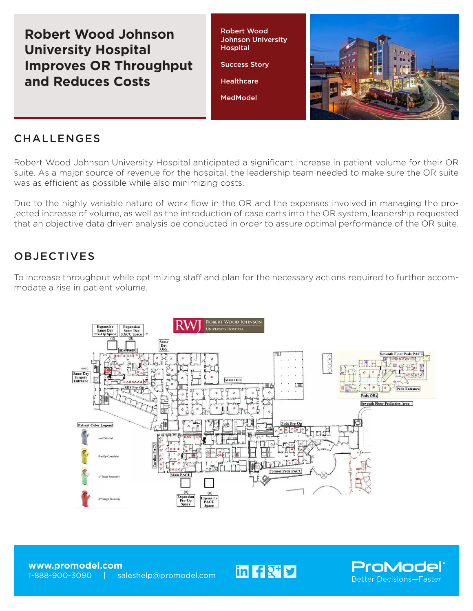**Robert Wood Johnson University Hospital Improves OR Throughput and Reduces Costs**

Robert Wood Johnson University **Hospital** 

Success Story

**Healthcare** 

MedModel



## **CHALLENGES**

Robert Wood Johnson University Hospital anticipated a significant increase in patient volume for their OR suite. As a major source of revenue for the hospital, the leadership team needed to make sure the OR suite was as efficient as possible while also minimizing costs.

Due to the highly variable nature of work flow in the OR and the expenses involved in managing the projected increase of volume, as well as the introduction of case carts into the OR system, leadership requested that an objective data driven analysis be conducted in order to assure optimal performance of the OR suite.

## OBJECTIVES

To increase throughput while optimizing staff and plan for the necessary actions required to further accommodate a rise in patient volume.